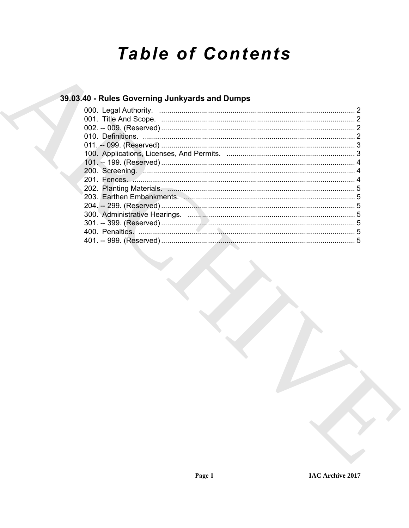# **Table of Contents**

### 39.03.40 - Rules Governing Junkyards and Dumps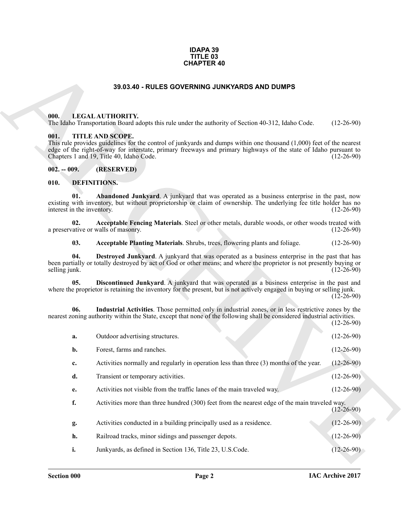#### **IDAPA 39 TITLE 03 CHAPTER 40**

#### **39.03.40 - RULES GOVERNING JUNKYARDS AND DUMPS**

#### <span id="page-1-1"></span><span id="page-1-0"></span>**000. LEGAL AUTHORITY.**

#### <span id="page-1-2"></span>**001. TITLE AND SCOPE.**

#### <span id="page-1-3"></span>**002. -- 009. (RESERVED)**

#### <span id="page-1-11"></span><span id="page-1-10"></span><span id="page-1-9"></span><span id="page-1-8"></span><span id="page-1-7"></span><span id="page-1-6"></span><span id="page-1-5"></span><span id="page-1-4"></span>**010. DEFINITIONS.**

|                                           | <b>CHAPTER 40</b>                                                                                                                                                                                                                                                    |                  |
|-------------------------------------------|----------------------------------------------------------------------------------------------------------------------------------------------------------------------------------------------------------------------------------------------------------------------|------------------|
|                                           | 39.03.40 - RULES GOVERNING JUNKYARDS AND DUMPS                                                                                                                                                                                                                       |                  |
| 000.<br>001.                              | LEGAL AUTHORITY.<br>The Idaho Transportation Board adopts this rule under the authority of Section 40-312, Idaho Code.<br>TITLE AND SCOPE.<br>This rule provides guidelines for the control of junkyards and dumps within one thousand $(1,000)$ feet of the nearest | $(12-26-90)$     |
|                                           | edge of the right-of-way for interstate, primary freeways and primary highways of the state of Idaho pursuant to<br>Chapters 1 and 19, Title 40, Idaho Code.                                                                                                         | $(12-26-90)$     |
| $002. - 009.$                             | (RESERVED)                                                                                                                                                                                                                                                           |                  |
| 010.<br>01.<br>interest in the inventory. | <b>DEFINITIONS.</b><br>Abandoned Junkyard. A junkyard that was operated as a business enterprise in the past, now<br>existing with inventory, but without proprietorship or claim of ownership. The underlying fee title holder has no                               | $(12-26-90)$     |
| 02.                                       | Acceptable Fencing Materials. Steel or other metals, durable woods, or other woods treated with<br>a preservative or walls of masonry.                                                                                                                               | $(12-26-90)$     |
| 03.                                       | Acceptable Planting Materials. Shrubs, trees, flowering plants and foliage.                                                                                                                                                                                          | $(12-26-90)$     |
| 04.<br>selling junk.                      | Destroyed Junkyard. A junkyard that was operated as a business enterprise in the past that has<br>been partially or totally destroyed by act of God or other means; and where the proprietor is not presently buying or                                              | $(12-26-90)$     |
| 05.                                       | Discontinued Junkyard. A junkyard that was operated as a business enterprise in the past and<br>where the proprietor is retaining the inventory for the present, but is not actively engaged in buying or selling junk.                                              | $(12-26-90)$     |
| 06.                                       | Industrial Activities. Those permitted only in industrial zones, or in less restrictive zones by the<br>nearest zoning authority within the State, except that none of the following shall be considered industrial activities.                                      | $(12-26-90)$     |
| a.                                        | Outdoor advertising structures.                                                                                                                                                                                                                                      | $(12-26-90)$     |
| b.                                        | Forest, farms and ranches.                                                                                                                                                                                                                                           | $(12 - 26 - 90)$ |
| c.                                        | Activities normally and regularly in operation less than three (3) months of the year.                                                                                                                                                                               | $(12-26-90)$     |
| d.                                        | Transient or temporary activities.                                                                                                                                                                                                                                   | $(12-26-90)$     |
| e.                                        | Activities not visible from the traffic lanes of the main traveled way.                                                                                                                                                                                              | $(12-26-90)$     |
| f.                                        | Activities more than three hundred (300) feet from the nearest edge of the main traveled way.                                                                                                                                                                        | $(12-26-90)$     |
| g.                                        | Activities conducted in a building principally used as a residence.                                                                                                                                                                                                  | $(12-26-90)$     |
| h.                                        | Railroad tracks, minor sidings and passenger depots.                                                                                                                                                                                                                 | $(12-26-90)$     |
| i.                                        | Junkyards, as defined in Section 136, Title 23, U.S.Code.                                                                                                                                                                                                            | $(12-26-90)$     |
|                                           |                                                                                                                                                                                                                                                                      |                  |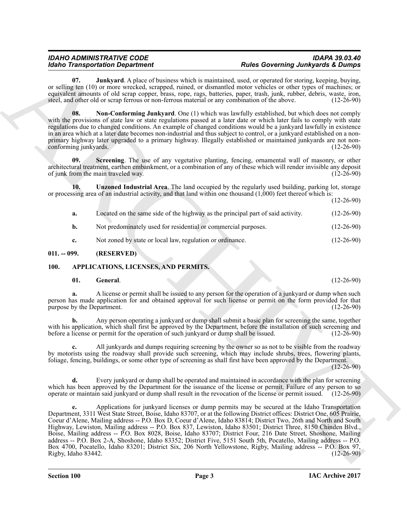<span id="page-2-4"></span>**Junkyard**. A place of business which is maintained, used, or operated for storing, keeping, buying, or selling ten (10) or more wrecked, scrapped, ruined, or dismantled motor vehicles or other types of machines; or equivalent amounts of old scrap copper, brass, rope, rags, batteries, paper, trash, junk, rubber, debris, waste, iron, steel, and other old or scrap ferrous or non-ferrous material or any combination of the above. (12-26-9 steel, and other old or scrap ferrous or non-ferrous material or any combination of the above.

<span id="page-2-5"></span>**08. Non-Conforming Junkyard**. One (1) which was lawfully established, but which does not comply with the provisions of state law or state regulations passed at a later date or which later fails to comply with state regulations due to changed conditions. An example of changed conditions would be a junkyard lawfully in existence in an area which at a later date becomes non-industrial and thus subject to control, or a junkyard established on a nonprimary highway later upgraded to a primary highway. Illegally established or maintained junkyards are not non-<br>
(12-26-90) conforming junkyards.

<span id="page-2-6"></span>**Screening**. The use of any vegetative planting, fencing, ornamental wall of masonry, or other architectural treatment, earthen embankment, or a combination of any of these which will render invisible any deposit of junk from the main traveled way. (12-26-90) of junk from the main traveled way.

**10. Unzoned Industrial Area**. The land occupied by the regularly used building, parking lot, storage or processing area of an industrial activity, and that land within one thousand (1,000) feet thereof which is:

(12-26-90)

<span id="page-2-7"></span>

| а.          | Located on the same side of the highway as the principal part of said activity. | $(12-26-90)$ |
|-------------|---------------------------------------------------------------------------------|--------------|
| <b>b.</b>   | Not predominately used for residential or commercial purposes.                  | $(12-26-90)$ |
| $c_{\cdot}$ | Not zoned by state or local law, regulation or ordinance.                       | $(12-26-90)$ |

#### <span id="page-2-0"></span>**011. -- 099. (RESERVED)**

#### <span id="page-2-1"></span>**100. APPLICATIONS, LICENSES, AND PERMITS.**

#### <span id="page-2-3"></span><span id="page-2-2"></span>**01. General**. (12-26-90)

**a.** A license or permit shall be issued to any person for the operation of a junkyard or dump when such person has made application for and obtained approval for such license or permit on the form provided for that purpose by the Department. (12-26-90) purpose by the Department.

**b.** Any person operating a junkyard or dump shall submit a basic plan for screening the same, together with his application, which shall first be approved by the Department, before the installation of such screening and before a license or permit for the operation of such junkyard or dump shall be issued. (12-26-90) before a license or permit for the operation of such junkyard or dump shall be issued.

**c.** All junkyards and dumps requiring screening by the owner so as not to be visible from the roadway by motorists using the roadway shall provide such screening, which may include shrubs, trees, flowering plants, foliage, fencing, buildings, or some other type of screening as shall first have been approved by the Department.

(12-26-90)

**d.** Every junkyard or dump shall be operated and maintained in accordance with the plan for screening which has been approved by the Department for the issuance of the license or permit. Failure of any person to so operate or maintain said junkyard or dump shall result in the revocation of the license or permit issued. (12-26-90)

**Example the strengthent For the strengthent and the strengthent of the Sourcester of the strengthents Comparison in the strengthent in the strengthent in the strengthent in the strengthent in the strengthent in the e.** Applications for junkyard licenses or dump permits may be secured at the Idaho Transportation Department, 3311 West State Street, Boise, Idaho 83707, or at the following District offices: District One, 605 Prairie, Coeur d'Alene, Mailing address -- P.O. Box D, Coeur d'Alene, Idaho 83814; District Two, 26th and North and South Highway, Lewiston, Mailing address -- P.O. Box 837, Lewiston, Idaho 83501; District Three, 8150 Chinden Blvd., Boise, Mailing address -- P.O. Box 8028, Boise, Idaho 83707; District Four, 216 Date Street, Shoshone, Mailing address -- P.O. Box 2-A, Shoshone, Idaho 83352; District Five, 5151 South 5th, Pocatello, Mailing address -- P.O. Box 4700, Pocatello, Idaho 83201; District Six, 206 North Yellowstone, Rigby, Mailing address -- P.O. Box 97, Rigby, Idaho 83442. (12-26-90)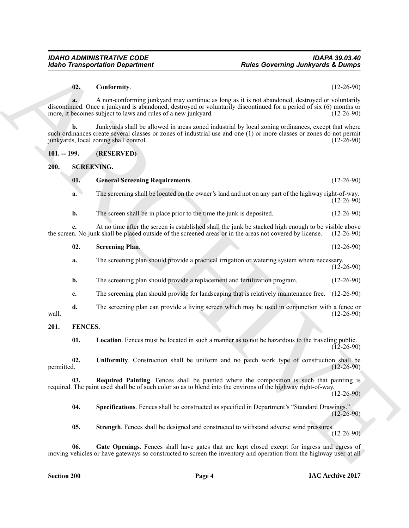#### <span id="page-3-3"></span>**02. Conformity**. (12-26-90)

#### <span id="page-3-13"></span><span id="page-3-12"></span><span id="page-3-11"></span><span id="page-3-10"></span><span id="page-3-9"></span><span id="page-3-8"></span><span id="page-3-7"></span><span id="page-3-6"></span><span id="page-3-5"></span><span id="page-3-4"></span><span id="page-3-2"></span><span id="page-3-1"></span><span id="page-3-0"></span>**101. -- 199. (RESERVED)**

| <b>Idaho Transportation Department</b> |                   |                                                                                                                                                                                                                                                                                         | <b>Rules Governing Junkyards &amp; Dumps</b> |  |
|----------------------------------------|-------------------|-----------------------------------------------------------------------------------------------------------------------------------------------------------------------------------------------------------------------------------------------------------------------------------------|----------------------------------------------|--|
|                                        | 02.               | Conformity.                                                                                                                                                                                                                                                                             | $(12-26-90)$                                 |  |
|                                        | a.                | A non-conforming junkyard may continue as long as it is not abandoned, destroyed or voluntarily<br>discontinued. Once a junkyard is abandoned, destroyed or voluntarily discontinued for a period of six (6) months or<br>more, it becomes subject to laws and rules of a new junkyard. | $(12-26-90)$                                 |  |
|                                        | $\mathbf{b}$ .    | Junkyards shall be allowed in areas zoned industrial by local zoning ordinances, except that where<br>such ordinances create several classes or zones of industrial use and one (1) or more classes or zones do not permit<br>junkyards, local zoning shall control.                    | $(12-26-90)$                                 |  |
| $101. - 199.$                          |                   | (RESERVED)                                                                                                                                                                                                                                                                              |                                              |  |
| 200.                                   | <b>SCREENING.</b> |                                                                                                                                                                                                                                                                                         |                                              |  |
|                                        | 01.               | <b>General Screening Requirements.</b>                                                                                                                                                                                                                                                  | $(12-26-90)$                                 |  |
|                                        | a.                | The screening shall be located on the owner's land and not on any part of the highway right-of-way.                                                                                                                                                                                     | $(12-26-90)$                                 |  |
|                                        | b.                | The screen shall be in place prior to the time the junk is deposited.                                                                                                                                                                                                                   | $(12-26-90)$                                 |  |
|                                        |                   | At no time after the screen is established shall the junk be stacked high enough to be visible above<br>the screen. No junk shall be placed outside of the screened areas or in the areas not covered by license.                                                                       | $(12-26-90)$                                 |  |
|                                        | 02.               | <b>Screening Plan.</b>                                                                                                                                                                                                                                                                  | $(12-26-90)$                                 |  |
|                                        | a.                | The screening plan should provide a practical irrigation or watering system where necessary.                                                                                                                                                                                            | $(12 - 26 - 90)$                             |  |
|                                        | b.                | The screening plan should provide a replacement and fertilization program.                                                                                                                                                                                                              | $(12-26-90)$                                 |  |
|                                        | c.                | The screening plan should provide for landscaping that is relatively maintenance free.                                                                                                                                                                                                  | $(12-26-90)$                                 |  |
| wall.                                  | d.                | The screening plan can provide a living screen which may be used in conjunction with a fence or                                                                                                                                                                                         | $(12-26-90)$                                 |  |
| 201.                                   | FENCES.           |                                                                                                                                                                                                                                                                                         |                                              |  |
|                                        | 01.               | <b>Location</b> . Fences must be located in such a manner as to not be hazardous to the traveling public.                                                                                                                                                                               | $(12-26-90)$                                 |  |
| permitted.                             | 02.               | Uniformity. Construction shall be uniform and no patch work type of construction shall be                                                                                                                                                                                               | $(12 - 26 - 90)$                             |  |
|                                        | 03.               | Required Painting. Fences shall be painted where the composition is such that painting is<br>required. The paint used shall be of such color so as to blend into the environs of the highway right-of-way.                                                                              | $(12-26-90)$                                 |  |
|                                        | 04.               | Specifications. Fences shall be constructed as specified in Department's "Standard Drawings."                                                                                                                                                                                           | $(12-26-90)$                                 |  |
|                                        | 05.               | Strength. Fences shall be designed and constructed to withstand adverse wind pressures.                                                                                                                                                                                                 | $(12-26-90)$                                 |  |
|                                        |                   |                                                                                                                                                                                                                                                                                         |                                              |  |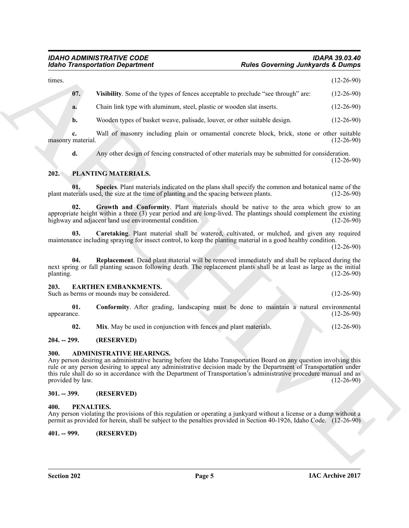| <b>Idaho Transportation Department</b> |                                                                                                                                                                                                                                                                                                                                                                                          | <b>Rules Governing Junkyards &amp; Dumps</b> |  |  |
|----------------------------------------|------------------------------------------------------------------------------------------------------------------------------------------------------------------------------------------------------------------------------------------------------------------------------------------------------------------------------------------------------------------------------------------|----------------------------------------------|--|--|
| times.                                 |                                                                                                                                                                                                                                                                                                                                                                                          | $(12-26-90)$                                 |  |  |
| 07.                                    | Visibility. Some of the types of fences acceptable to preclude "see through" are:                                                                                                                                                                                                                                                                                                        | $(12-26-90)$                                 |  |  |
| a.                                     | Chain link type with aluminum, steel, plastic or wooden slat inserts.                                                                                                                                                                                                                                                                                                                    | $(12-26-90)$                                 |  |  |
| b.                                     | Wooden types of basket weave, palisade, louver, or other suitable design.                                                                                                                                                                                                                                                                                                                | $(12-26-90)$                                 |  |  |
| c.<br>masonry material.                | Wall of masonry including plain or ornamental concrete block, brick, stone or other suitable                                                                                                                                                                                                                                                                                             | $(12-26-90)$                                 |  |  |
| d.                                     | Any other design of fencing constructed of other materials may be submitted for consideration.                                                                                                                                                                                                                                                                                           | $(12-26-90)$                                 |  |  |
| 202.                                   | PLANTING MATERIALS.                                                                                                                                                                                                                                                                                                                                                                      |                                              |  |  |
| 01.                                    | Species. Plant materials indicated on the plans shall specify the common and botanical name of the<br>plant materials used, the size at the time of planting and the spacing between plants.                                                                                                                                                                                             | $(12-26-90)$                                 |  |  |
| 02.                                    | Growth and Conformity. Plant materials should be native to the area which grow to an<br>appropriate height within a three (3) year period and are long-lived. The plantings should complement the existing<br>highway and adjacent land use environmental condition.                                                                                                                     | $(12-26-90)$                                 |  |  |
| 03.                                    | Caretaking. Plant material shall be watered, cultivated, or mulched, and given any required<br>maintenance including spraying for insect control, to keep the planting material in a good healthy condition.                                                                                                                                                                             | $(12-26-90)$                                 |  |  |
| 04.<br>planting.                       | Replacement. Dead plant material will be removed immediately and shall be replaced during the<br>next spring or fall planting season following death. The replacement plants shall be at least as large as the initial                                                                                                                                                                   | $(12-26-90)$                                 |  |  |
| 203.                                   | <b>EARTHEN EMBANKMENTS.</b><br>Such as berms or mounds may be considered.                                                                                                                                                                                                                                                                                                                | $(12-26-90)$                                 |  |  |
| 01.<br>appearance.                     | <b>Conformity.</b> After grading, landscaping must be done to maintain a natural environmental                                                                                                                                                                                                                                                                                           | $(12-26-90)$                                 |  |  |
| 02.                                    | Mix. May be used in conjunction with fences and plant materials.                                                                                                                                                                                                                                                                                                                         | $(12-26-90)$                                 |  |  |
| $204. - 299.$                          | (RESERVED)                                                                                                                                                                                                                                                                                                                                                                               |                                              |  |  |
| <b>300.</b><br>provided by law.        | ADMINISTRATIVE HEARINGS.<br>Any person desiring an administrative hearing before the Idaho Transportation Board on any question involving this<br>rule or any person desiring to appeal any administrative decision made by the Department of Transportation under<br>this rule shall do so in accordance with the Department of Transportation's administrative procedure manual and as | $(12-26-90)$                                 |  |  |
| $301. - 399.$                          | (RESERVED)                                                                                                                                                                                                                                                                                                                                                                               |                                              |  |  |
| 400.                                   | PENALTIES.<br>Any person violating the provisions of this regulation or operating a junkyard without a license or a dump without a<br>permit as provided for herein, shall be subject to the penalties provided in Section 40-1926, Idaho Code. (12-26-90)                                                                                                                               |                                              |  |  |
|                                        |                                                                                                                                                                                                                                                                                                                                                                                          |                                              |  |  |

### <span id="page-4-17"></span><span id="page-4-15"></span><span id="page-4-14"></span><span id="page-4-13"></span><span id="page-4-11"></span><span id="page-4-0"></span>**202. PLANTING MATERIALS.**

#### <span id="page-4-16"></span><span id="page-4-9"></span><span id="page-4-8"></span><span id="page-4-1"></span>**203. EARTHEN EMBANKMENTS.**

#### <span id="page-4-10"></span><span id="page-4-2"></span>**204. -- 299. (RESERVED)**

#### <span id="page-4-7"></span><span id="page-4-3"></span>**300. ADMINISTRATIVE HEARINGS.**

#### <span id="page-4-4"></span>**301. -- 399. (RESERVED)**

#### <span id="page-4-12"></span><span id="page-4-6"></span><span id="page-4-5"></span>**400. PENALTIES.**